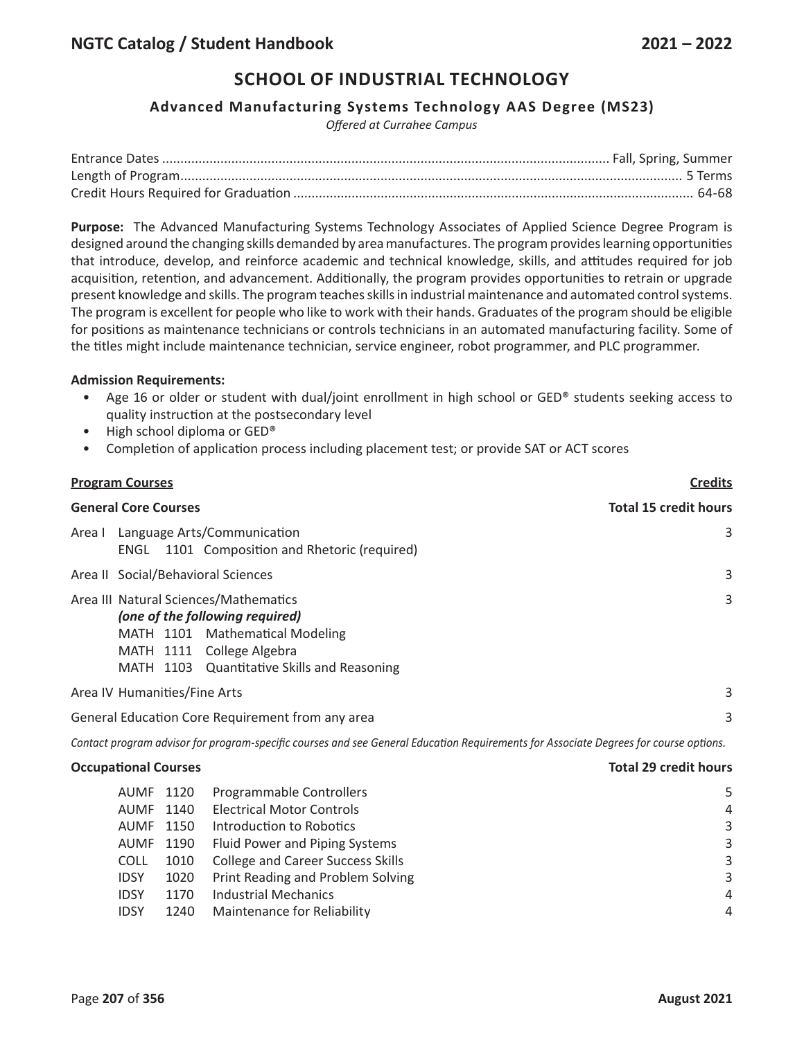### **Advanced Manufacturing Systems Technology AAS Degree (MS23)**

*Offered at Currahee Campus*

**Purpose:** The Advanced Manufacturing Systems Technology Associates of Applied Science Degree Program is designed around the changing skills demanded by area manufactures. The program provides learning opportunities that introduce, develop, and reinforce academic and technical knowledge, skills, and attitudes required for job acquisition, retention, and advancement. Additionally, the program provides opportunities to retrain or upgrade present knowledge and skills. The program teaches skills in industrial maintenance and automated control systems. The program is excellent for people who like to work with their hands. Graduates of the program should be eligible for positions as maintenance technicians or controls technicians in an automated manufacturing facility. Some of the titles might include maintenance technician, service engineer, robot programmer, and PLC programmer.

#### **Admission Requirements:**

- Age 16 or older or student with dual/joint enrollment in high school or GED® students seeking access to quality instruction at the postsecondary level
- High school diploma or GED®
- Completion of application process including placement test; or provide SAT or ACT scores

| <b>Program Courses</b>                                                                                                                                                                  | <b>Credits</b>               |  |  |  |  |
|-----------------------------------------------------------------------------------------------------------------------------------------------------------------------------------------|------------------------------|--|--|--|--|
| <b>General Core Courses</b>                                                                                                                                                             | <b>Total 15 credit hours</b> |  |  |  |  |
| Language Arts/Communication<br>Area I<br>1101 Composition and Rhetoric (required)<br>ENGL                                                                                               |                              |  |  |  |  |
| Area II Social/Behavioral Sciences                                                                                                                                                      | 3                            |  |  |  |  |
| Area III Natural Sciences/Mathematics<br>(one of the following required)<br>MATH 1101 Mathematical Modeling<br>MATH 1111 College Algebra<br>MATH 1103 Quantitative Skills and Reasoning | 3                            |  |  |  |  |
| Area IV Humanities/Fine Arts                                                                                                                                                            | 3                            |  |  |  |  |
| General Education Core Requirement from any area                                                                                                                                        | 3                            |  |  |  |  |
|                                                                                                                                                                                         |                              |  |  |  |  |

Contact program advisor for program-specific courses and see General Education Requirements for Associate Degrees for course options.

#### **Occupational Courses Total 29 credit hours**

| AUMF        | 1120 | Programmable Controllers                 | 5 |
|-------------|------|------------------------------------------|---|
| <b>AUMF</b> | 1140 | <b>Electrical Motor Controls</b>         | 4 |
| <b>AUMF</b> | 1150 | Introduction to Robotics                 | 3 |
| AUMF        | 1190 | Fluid Power and Piping Systems           | 3 |
| <b>COLL</b> | 1010 | <b>College and Career Success Skills</b> | 3 |
| <b>IDSY</b> | 1020 | Print Reading and Problem Solving        | 3 |
| <b>IDSY</b> | 1170 | <b>Industrial Mechanics</b>              | 4 |
| <b>IDSY</b> | 1240 | Maintenance for Reliability              | 4 |
|             |      |                                          |   |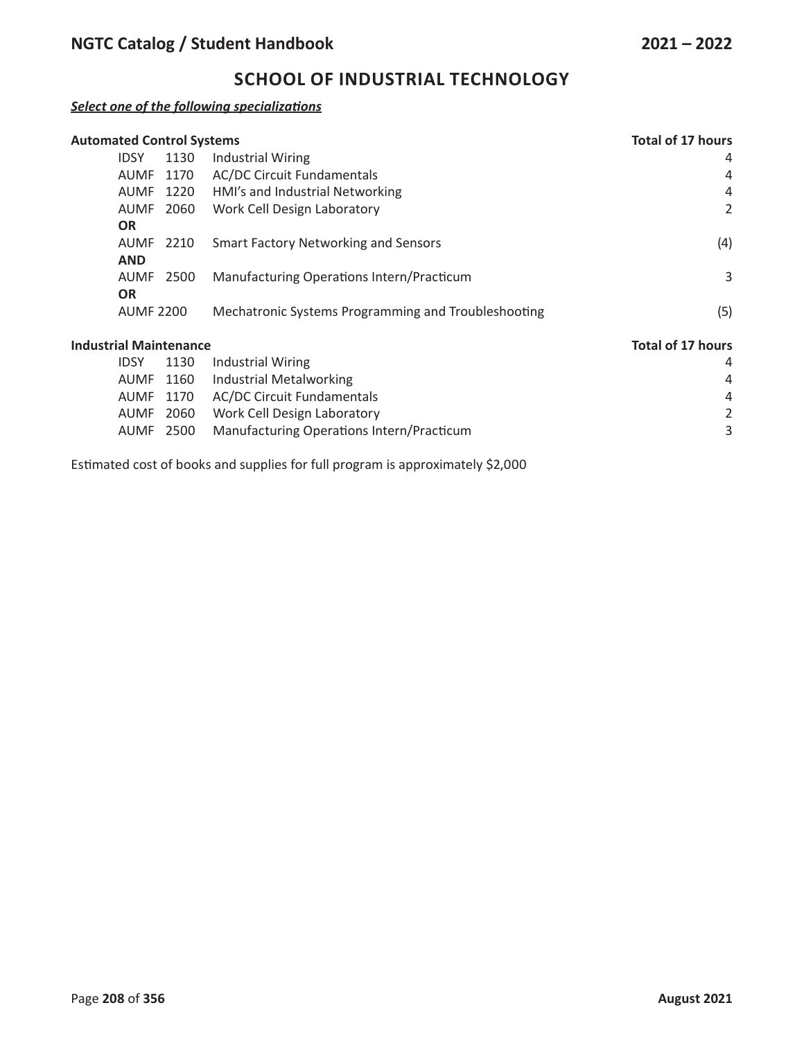### *Select one of the following specializations*

| <b>Automated Control Systems</b> |                  |      |                                                     | <b>Total of 17 hours</b> |
|----------------------------------|------------------|------|-----------------------------------------------------|--------------------------|
|                                  | <b>IDSY</b>      | 1130 | <b>Industrial Wiring</b>                            | 4                        |
|                                  | AUMF             | 1170 | <b>AC/DC Circuit Fundamentals</b>                   | 4                        |
|                                  | <b>AUMF</b>      | 1220 | HMI's and Industrial Networking                     | 4                        |
|                                  | <b>AUMF</b>      | 2060 | Work Cell Design Laboratory                         | 2                        |
|                                  | <b>OR</b>        |      |                                                     |                          |
|                                  | <b>AUMF</b>      | 2210 | <b>Smart Factory Networking and Sensors</b>         | (4)                      |
|                                  | <b>AND</b>       |      |                                                     |                          |
|                                  | <b>AUMF</b>      | 2500 | Manufacturing Operations Intern/Practicum           | 3                        |
|                                  | <b>OR</b>        |      |                                                     |                          |
|                                  | <b>AUMF 2200</b> |      | Mechatronic Systems Programming and Troubleshooting | (5)                      |
| <b>Industrial Maintenance</b>    |                  |      |                                                     | <b>Total of 17 hours</b> |
|                                  | <b>IDSY</b>      | 1130 | <b>Industrial Wiring</b>                            | 4                        |
|                                  | <b>AUMF</b>      | 1160 | <b>Industrial Metalworking</b>                      | 4                        |

|  | AUMF 1160 Industrial Metalworking                   | 4 |
|--|-----------------------------------------------------|---|
|  | AUMF 1170 AC/DC Circuit Fundamentals                | Δ |
|  | AUMF 2060 Work Cell Design Laboratory               |   |
|  | AUMF 2500 Manufacturing Operations Intern/Practicum |   |

Estimated cost of books and supplies for full program is approximately \$2,000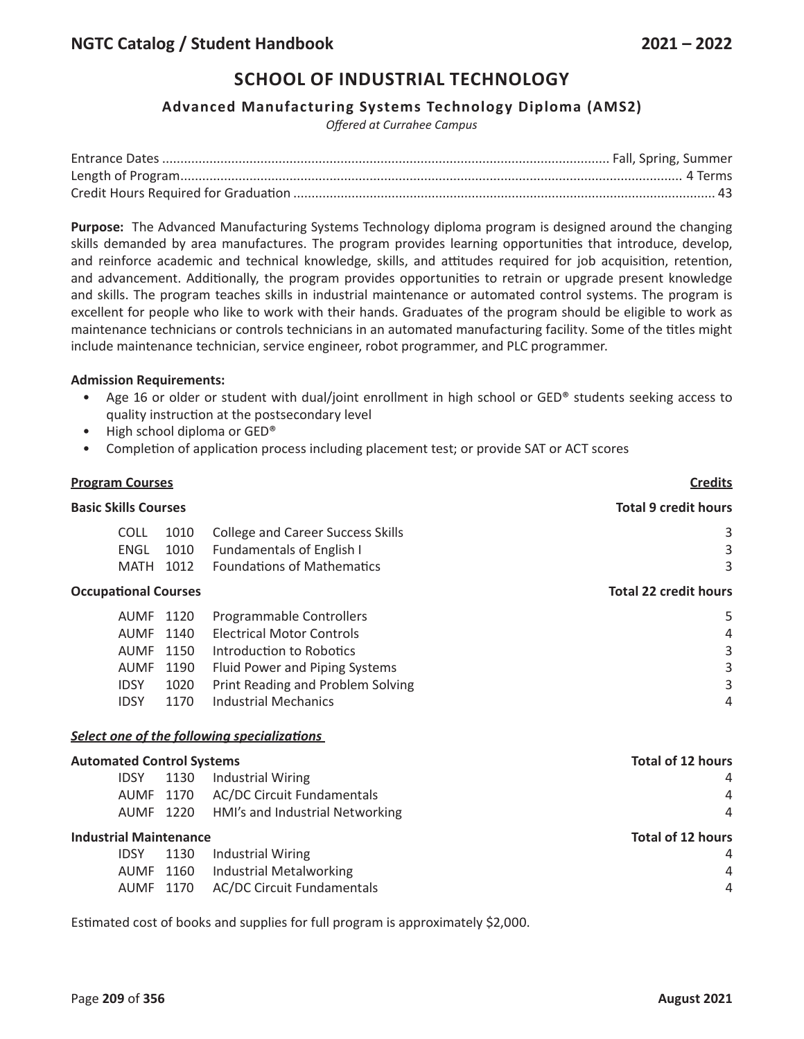### **Advanced Manufacturing Systems Technology Diploma (AMS2)**

*Offered at Currahee Campus*

**Purpose:** The Advanced Manufacturing Systems Technology diploma program is designed around the changing skills demanded by area manufactures. The program provides learning opportunities that introduce, develop, and reinforce academic and technical knowledge, skills, and attitudes required for job acquisition, retention, and advancement. Additionally, the program provides opportunities to retrain or upgrade present knowledge and skills. The program teaches skills in industrial maintenance or automated control systems. The program is excellent for people who like to work with their hands. Graduates of the program should be eligible to work as maintenance technicians or controls technicians in an automated manufacturing facility. Some of the titles might include maintenance technician, service engineer, robot programmer, and PLC programmer.

#### **Admission Requirements:**

- Age 16 or older or student with dual/joint enrollment in high school or GED® students seeking access to quality instruction at the postsecondary level
- High school diploma or GED®
- Completion of application process including placement test; or provide SAT or ACT scores

| <b>Program Courses</b>           |                     |              |                                                                | <b>Credits</b>               |
|----------------------------------|---------------------|--------------|----------------------------------------------------------------|------------------------------|
| <b>Basic Skills Courses</b>      |                     |              |                                                                | <b>Total 9 credit hours</b>  |
|                                  | <b>COLL</b>         | 1010         | <b>College and Career Success Skills</b>                       | 3                            |
|                                  | ENGL<br><b>MATH</b> | 1010<br>1012 | Fundamentals of English I<br><b>Foundations of Mathematics</b> | 3<br>3                       |
| <b>Occupational Courses</b>      |                     |              |                                                                | <b>Total 22 credit hours</b> |
|                                  | AUMF                | 1120         | Programmable Controllers                                       | 5                            |
|                                  | <b>AUMF</b>         | 1140         | <b>Electrical Motor Controls</b>                               | 4                            |
|                                  | <b>AUMF</b>         | 1150         | Introduction to Robotics                                       | 3                            |
|                                  | <b>AUMF</b>         | 1190         | Fluid Power and Piping Systems                                 | 3                            |
|                                  | <b>IDSY</b>         | 1020         | Print Reading and Problem Solving                              | 3                            |
|                                  | <b>IDSY</b>         | 1170         | <b>Industrial Mechanics</b>                                    | 4                            |
|                                  |                     |              | Select one of the following specializations                    |                              |
| <b>Automated Control Systems</b> |                     |              |                                                                | Total of 12 hours            |
|                                  | <b>IDSY</b>         | 1130         | <b>Industrial Wiring</b>                                       | 4                            |
|                                  | <b>AUMF</b>         | 1170         | <b>AC/DC Circuit Fundamentals</b>                              | 4                            |
|                                  | <b>AUMF</b>         | 1220         | HMI's and Industrial Networking                                | 4                            |
| <b>Industrial Maintenance</b>    |                     |              |                                                                | <b>Total of 12 hours</b>     |
|                                  | <b>IDSY</b>         | 1130         | <b>Industrial Wiring</b>                                       | 4                            |
|                                  | <b>AUMF</b>         | 1160         | Industrial Metalworking                                        | 4                            |
|                                  | <b>AUMF</b>         | 1170         | <b>AC/DC Circuit Fundamentals</b>                              | 4                            |

Estimated cost of books and supplies for full program is approximately \$2,000.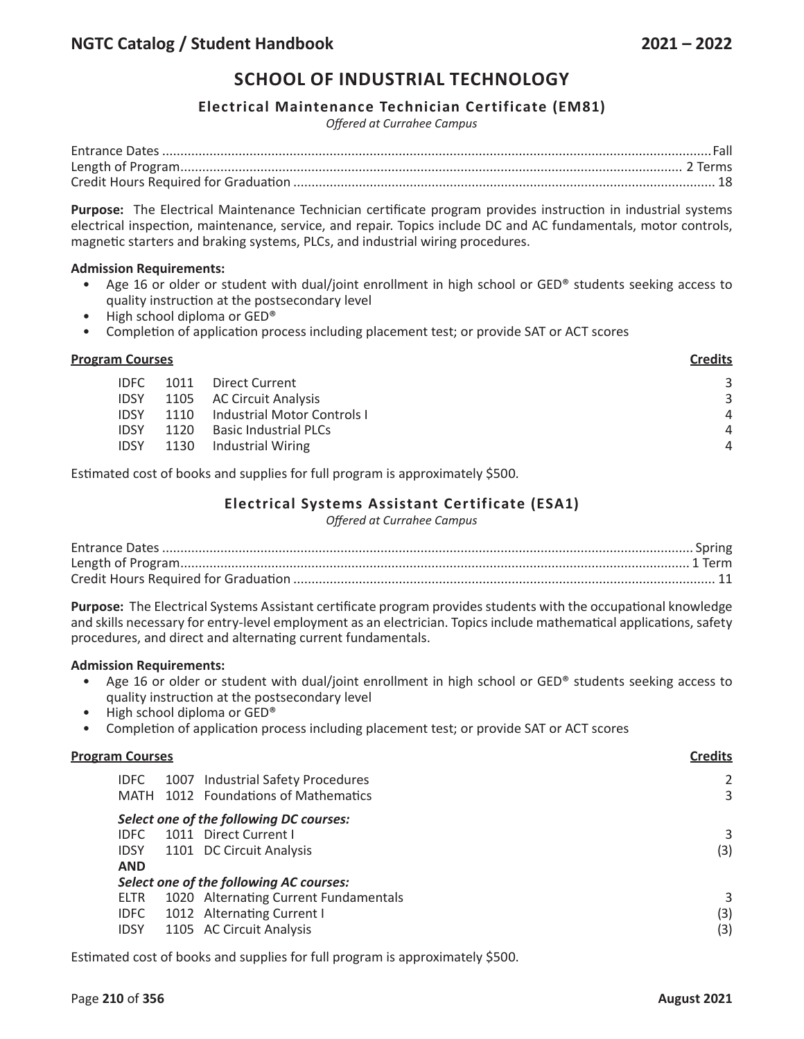### **Electrical Maintenance Technician Certificate (EM81)**

*Offered at Currahee Campus*

**Purpose:** The Electrical Maintenance Technician certificate program provides instruction in industrial systems electrical inspection, maintenance, service, and repair. Topics include DC and AC fundamentals, motor controls, magnetic starters and braking systems, PLCs, and industrial wiring procedures.

#### **Admission Requirements:**

- Age 16 or older or student with dual/joint enrollment in high school or GED® students seeking access to quality instruction at the postsecondary level
- High school diploma or GED®
- Completion of application process including placement test; or provide SAT or ACT scores

#### **Program Courses Credits**

|  | IDFC 1011 Direct Current              | 3              |
|--|---------------------------------------|----------------|
|  | IDSY 1105 AC Circuit Analysis         | 3              |
|  | IDSY 1110 Industrial Motor Controls I | $\overline{A}$ |
|  | IDSY 1120 Basic Industrial PLCs       | $\overline{A}$ |
|  | IDSY 1130 Industrial Wiring           | Δ              |
|  |                                       |                |

Estimated cost of books and supplies for full program is approximately \$500.

### **Electrical Systems Assistant Certificate (ESA1)**

*Offered at Currahee Campus*

**Purpose:** The Electrical Systems Assistant certificate program provides students with the occupational knowledge and skills necessary for entry-level employment as an electrician. Topics include mathematical applications, safety procedures, and direct and alternating current fundamentals.

#### **Admission Requirements:**

- Age 16 or older or student with dual/joint enrollment in high school or GED® students seeking access to quality instruction at the postsecondary level
- High school diploma or GED®
- Completion of application process including placement test; or provide SAT or ACT scores

| <b>Program Courses</b> |             |  | Credits                                 |     |
|------------------------|-------------|--|-----------------------------------------|-----|
|                        | <b>IDFC</b> |  | 1007 Industrial Safety Procedures       |     |
|                        |             |  | MATH 1012 Foundations of Mathematics    | 3   |
|                        |             |  | Select one of the following DC courses: |     |
|                        | IDEC.       |  | 1011 Direct Current I                   | 3   |
|                        | <b>IDSY</b> |  | 1101 DC Circuit Analysis                | (3) |
|                        | <b>AND</b>  |  |                                         |     |
|                        |             |  | Select one of the following AC courses: |     |
|                        | ELTR        |  | 1020 Alternating Current Fundamentals   | 3   |
|                        | <b>IDFC</b> |  | 1012 Alternating Current I              | (3) |
|                        | <b>IDSY</b> |  | 1105 AC Circuit Analysis                | (3) |
|                        |             |  |                                         |     |

Estimated cost of books and supplies for full program is approximately \$500.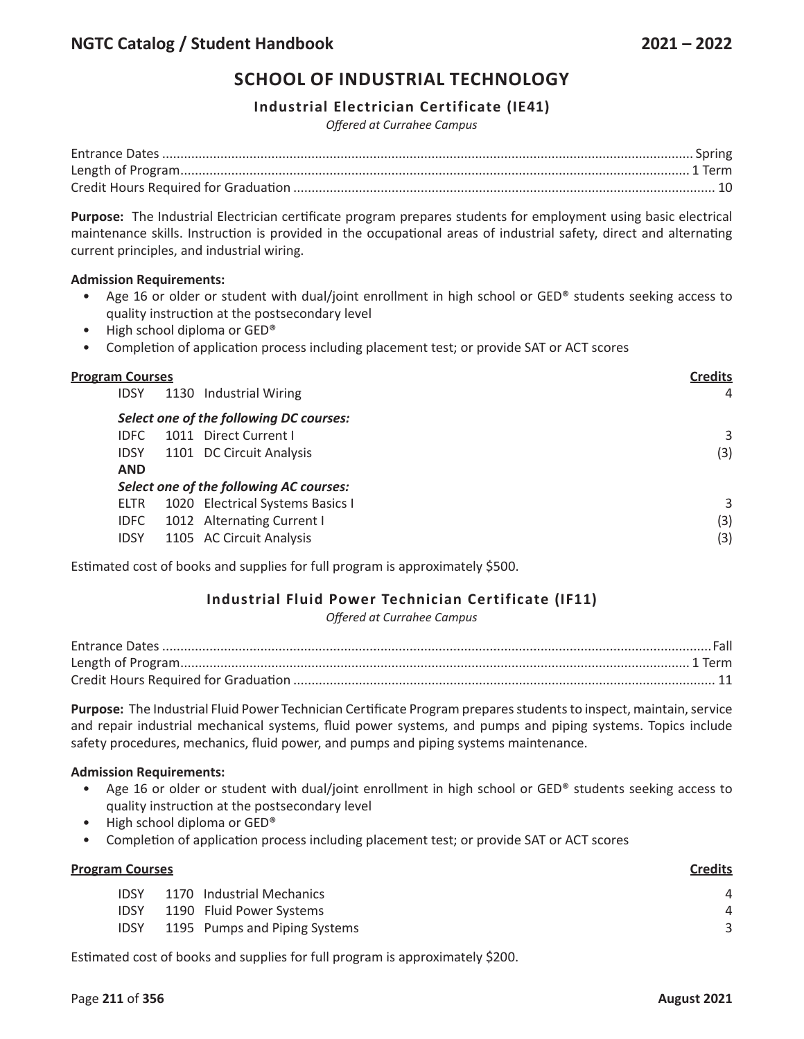## **Industrial Electrician Certificate (IE41)**

*Offered at Currahee Campus*

**Purpose:** The Industrial Electrician certificate program prepares students for employment using basic electrical maintenance skills. Instruction is provided in the occupational areas of industrial safety, direct and alternating current principles, and industrial wiring.

#### **Admission Requirements:**

- Age 16 or older or student with dual/joint enrollment in high school or GED® students seeking access to quality instruction at the postsecondary level
- High school diploma or GED®
- Completion of application process including placement test; or provide SAT or ACT scores

| <b>Program Courses</b><br><b>IDSY</b> | <b>Credits</b><br>4                     |     |
|---------------------------------------|-----------------------------------------|-----|
|                                       | Select one of the following DC courses: |     |
| <b>IDFC</b>                           | 1011 Direct Current I                   | 3   |
| <b>IDSY</b>                           | 1101 DC Circuit Analysis                | (3) |
| <b>AND</b>                            |                                         |     |
|                                       | Select one of the following AC courses: |     |
| <b>ELTR</b>                           | 1020 Electrical Systems Basics I        | 3   |
| <b>IDFC</b>                           | 1012 Alternating Current I              | (3) |
| <b>IDSY</b>                           | 1105 AC Circuit Analysis                | (3) |
|                                       |                                         |     |

Estimated cost of books and supplies for full program is approximately \$500.

## **Industrial Fluid Power Technician Certificate (IF11)**

*Offered at Currahee Campus*

**Purpose:** The Industrial Fluid Power Technician Certificate Program prepares students to inspect, maintain, service and repair industrial mechanical systems, fluid power systems, and pumps and piping systems. Topics include safety procedures, mechanics, fluid power, and pumps and piping systems maintenance.

### **Admission Requirements:**

- Age 16 or older or student with dual/joint enrollment in high school or GED® students seeking access to quality instruction at the postsecondary level
- High school diploma or GED®
- Completion of application process including placement test; or provide SAT or ACT scores

| <b>Credits</b> |
|----------------|
| 4              |
| 4              |
|                |
|                |

Estimated cost of books and supplies for full program is approximately \$200.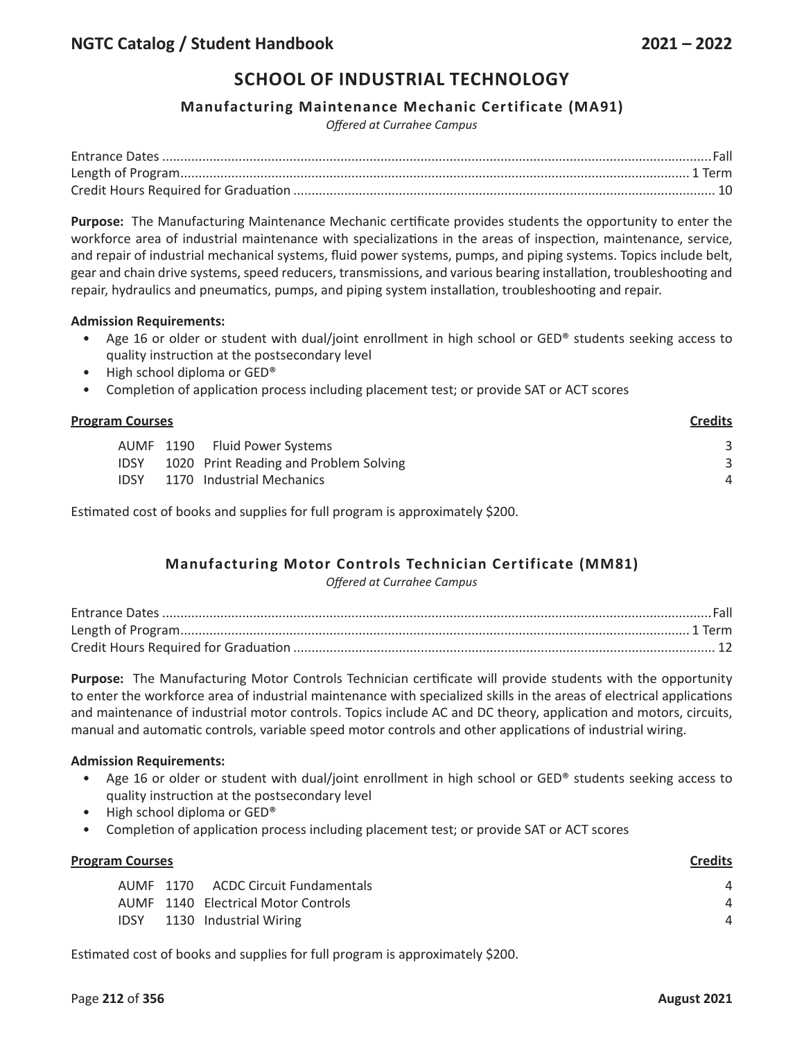### **Manufacturing Maintenance Mechanic Certificate (MA91)**

*Offered at Currahee Campus*

**Purpose:** The Manufacturing Maintenance Mechanic certificate provides students the opportunity to enter the workforce area of industrial maintenance with specializations in the areas of inspection, maintenance, service, and repair of industrial mechanical systems, fluid power systems, pumps, and piping systems. Topics include belt, gear and chain drive systems, speed reducers, transmissions, and various bearing installation, troubleshooting and repair, hydraulics and pneumatics, pumps, and piping system installation, troubleshooting and repair.

#### **Admission Requirements:**

- Age 16 or older or student with dual/joint enrollment in high school or GED® students seeking access to quality instruction at the postsecondary level
- High school diploma or GED®
- Completion of application process including placement test; or provide SAT or ACT scores

| <b>Program Courses</b> | <b>Credits</b>                         |   |
|------------------------|----------------------------------------|---|
|                        | AUMF 1190 Fluid Power Systems          |   |
| <b>IDSY</b>            | 1020 Print Reading and Problem Solving |   |
| <b>IDSY</b>            | 1170 Industrial Mechanics              | 4 |
|                        |                                        |   |

Estimated cost of books and supplies for full program is approximately \$200.

## **Manufacturing Motor Controls Technician Certificate (MM81)**

*Offered at Currahee Campus*

**Purpose:** The Manufacturing Motor Controls Technician certificate will provide students with the opportunity to enter the workforce area of industrial maintenance with specialized skills in the areas of electrical applications and maintenance of industrial motor controls. Topics include AC and DC theory, application and motors, circuits, manual and automatic controls, variable speed motor controls and other applications of industrial wiring.

#### **Admission Requirements:**

- Age 16 or older or student with dual/joint enrollment in high school or GED® students seeking access to quality instruction at the postsecondary level
- High school diploma or GED<sup>®</sup>
- Completion of application process including placement test; or provide SAT or ACT scores

| <b>Program Courses</b> |  | <b>Credits</b>                      |   |
|------------------------|--|-------------------------------------|---|
|                        |  | AUMF 1170 ACDC Circuit Fundamentals | Δ |
|                        |  | AUMF 1140 Electrical Motor Controls | Δ |
| <b>IDSY</b>            |  | 1130 Industrial Wiring              | Δ |
|                        |  |                                     |   |

Estimated cost of books and supplies for full program is approximately \$200.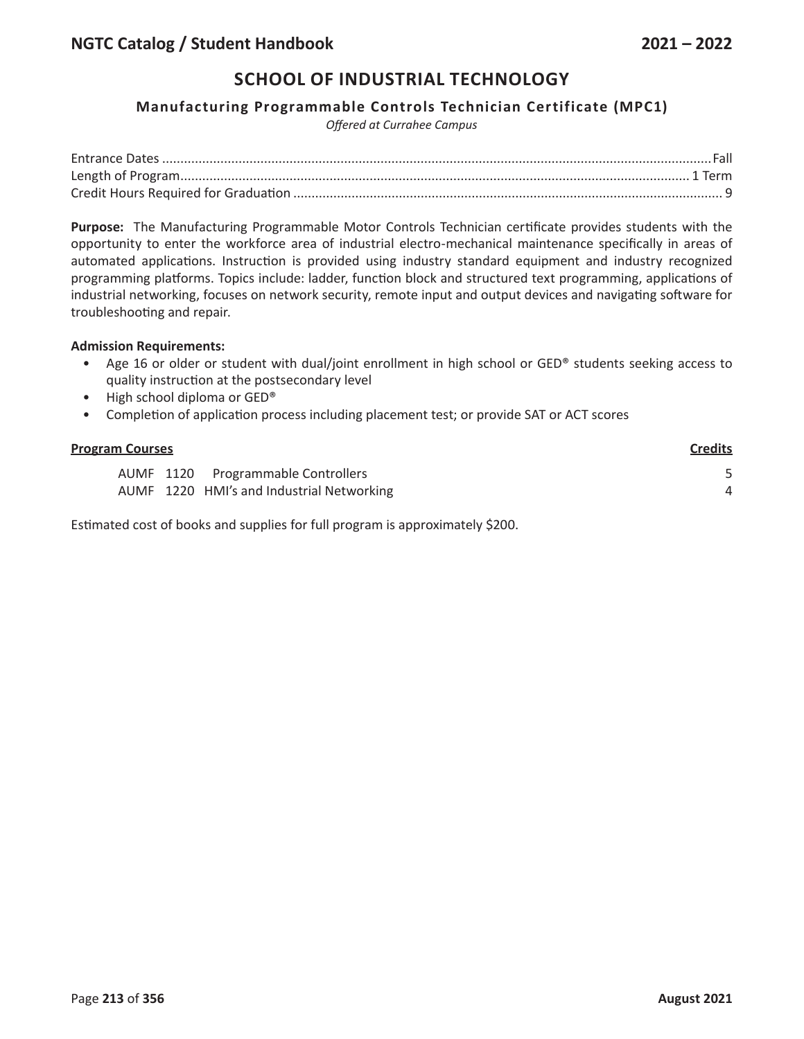### **Manufacturing Programmable Controls Technician Certificate (MPC1)**

*Offered at Currahee Campus*

**Purpose:** The Manufacturing Programmable Motor Controls Technician certificate provides students with the opportunity to enter the workforce area of industrial electro-mechanical maintenance specifically in areas of automated applications. Instruction is provided using industry standard equipment and industry recognized programming platforms. Topics include: ladder, function block and structured text programming, applications of industrial networking, focuses on network security, remote input and output devices and navigating software for troubleshooting and repair.

#### **Admission Requirements:**

- Age 16 or older or student with dual/joint enrollment in high school or GED® students seeking access to quality instruction at the postsecondary level
- High school diploma or GED®
- Completion of application process including placement test; or provide SAT or ACT scores

| <b>Program Courses</b> | <b>Credits</b>                            |   |
|------------------------|-------------------------------------------|---|
|                        | AUMF 1120 Programmable Controllers        |   |
|                        | AUMF 1220 HMI's and Industrial Networking | 4 |
|                        |                                           |   |

Estimated cost of books and supplies for full program is approximately \$200.